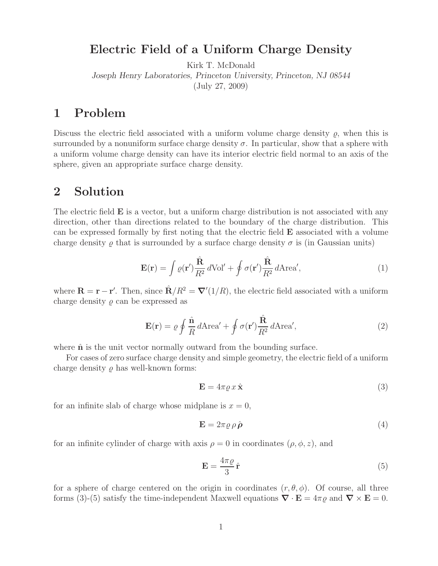## **Electric Field of a Uniform Charge Density**

Kirk T. McDonald *Joseph Henry Laboratories, Princeton University, Princeton, NJ 08544* (July 27, 2009)

## **1 Problem**

Discuss the electric field associated with a uniform volume charge density  $\rho$ , when this is surrounded by a nonuniform surface charge density  $\sigma$ . In particular, show that a sphere with a uniform volume charge density can have its interior electric field normal to an axis of the sphere, given an appropriate surface charge density.

## **2 Solution**

The electric field **E** is a vector, but a uniform charge distribution is not associated with any direction, other than directions related to the boundary of the charge distribution. This can be expressed formally by first noting that the electric field **E** associated with a volume charge density  $\rho$  that is surrounded by a surface charge density  $\sigma$  is (in Gaussian units)

$$
\mathbf{E}(\mathbf{r}) = \int \varrho(\mathbf{r}') \frac{\hat{\mathbf{R}}}{R^2} d\text{Vol}' + \oint \sigma(\mathbf{r}') \frac{\hat{\mathbf{R}}}{R^2} d\text{Area}',\tag{1}
$$

where  $\mathbf{R} = \mathbf{r} - \mathbf{r}'$ . Then, since  $\hat{\mathbf{R}}/R^2 = \nabla'(1/R)$ , the electric field associated with a uniform charge density  $\rho$  can be expressed as

$$
\mathbf{E}(\mathbf{r}) = \varrho \oint \frac{\hat{\mathbf{n}}}{R} d\text{Area}' + \oint \sigma(\mathbf{r}') \frac{\hat{\mathbf{R}}}{R^2} d\text{Area}',\tag{2}
$$

where  $\hat{\bf{n}}$  is the unit vector normally outward from the bounding surface.

For cases of zero surface charge density and simple geometry, the electric field of a uniform charge density  $\rho$  has well-known forms:

$$
\mathbf{E} = 4\pi \varrho \, x \, \hat{\mathbf{x}} \tag{3}
$$

for an infinite slab of charge whose midplane is  $x = 0$ ,

$$
\mathbf{E} = 2\pi \varrho \,\rho \,\hat{\boldsymbol{\rho}} \tag{4}
$$

for an infinite cylinder of charge with axis  $\rho = 0$  in coordinates  $(\rho, \phi, z)$ , and

$$
\mathbf{E} = \frac{4\pi\varrho}{3}\,\hat{\mathbf{r}}\tag{5}
$$

for a sphere of charge centered on the origin in coordinates  $(r, \theta, \phi)$ . Of course, all three forms (3)-(5) satisfy the time-independent Maxwell equations  $\nabla \cdot \mathbf{E} = 4\pi \varrho$  and  $\nabla \times \mathbf{E} = 0$ .